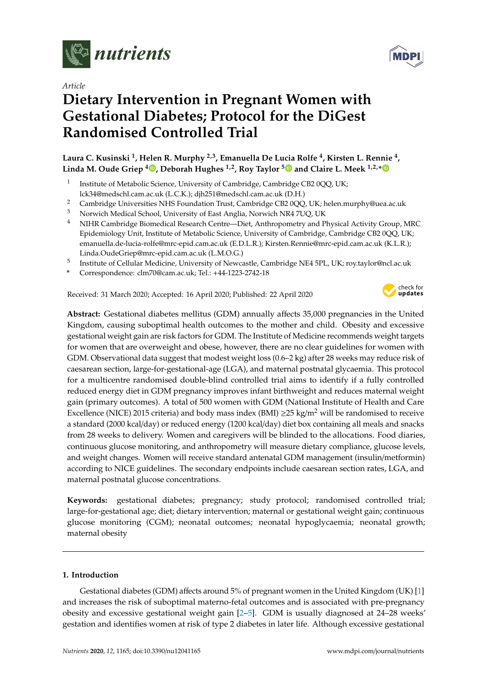

*Article*

# **Dietary Intervention in Pregnant Women with Gestational Diabetes; Protocol for the DiGest Randomised Controlled Trial**

**Laura C. Kusinski <sup>1</sup> , Helen R. Murphy 2,3, Emanuella De Lucia Rolfe <sup>4</sup> , Kirsten L. Rennie <sup>4</sup> , Linda M. Oude Griep <sup>4</sup> [,](https://orcid.org/0000-0001-7697-7473) Deborah Hughes 1,2, Roy Taylor [5](https://orcid.org/0000-0001-6273-0170) and Claire L. Meek 1,2,[\\*](https://orcid.org/0000-0002-4176-8329)**

- 1 Institute of Metabolic Science, University of Cambridge, Cambridge CB2 0QQ, UK; lck34@medschl.cam.ac.uk (L.C.K.); djh251@medschl.cam.ac.uk (D.H.)
- <sup>2</sup> Cambridge Universities NHS Foundation Trust, Cambridge CB2 0QQ, UK; helen.murphy@uea.ac.uk<br><sup>3</sup> Norwich Medical School University of East Anglia Norwich NP4 7UQ UK
- <sup>3</sup> Norwich Medical School, University of East Anglia, Norwich NR4 7UQ, UK
- <sup>4</sup> NIHR Cambridge Biomedical Research Centre—Diet, Anthropometry and Physical Activity Group, MRC Epidemiology Unit, Institute of Metabolic Science, University of Cambridge, Cambridge CB2 0QQ, UK; emanuella.de-lucia-rolfe@mrc-epid.cam.ac.uk (E.D.L.R.); Kirsten.Rennie@mrc-epid.cam.ac.uk (K.L.R.); Linda.OudeGriep@mrc-epid.cam.ac.uk (L.M.O.G.)
- $^5$  Institute of Cellular Medicine, University of Newcastle, Cambridge NE4 5PL, UK; roy.taylor@ncl.ac.uk
- **\*** Correspondence: clm70@cam.ac.uk; Tel.: +44-1223-2742-18

Received: 31 March 2020; Accepted: 16 April 2020; Published: 22 April 2020



**Abstract:** Gestational diabetes mellitus (GDM) annually affects 35,000 pregnancies in the United Kingdom, causing suboptimal health outcomes to the mother and child. Obesity and excessive gestational weight gain are risk factors for GDM. The Institute of Medicine recommends weight targets for women that are overweight and obese, however, there are no clear guidelines for women with GDM. Observational data suggest that modest weight loss (0.6–2 kg) after 28 weeks may reduce risk of caesarean section, large-for-gestational-age (LGA), and maternal postnatal glycaemia. This protocol for a multicentre randomised double-blind controlled trial aims to identify if a fully controlled reduced energy diet in GDM pregnancy improves infant birthweight and reduces maternal weight gain (primary outcomes). A total of 500 women with GDM (National Institute of Health and Care Excellence (NICE) 2015 criteria) and body mass index (BMI)  $\geq$ 25 kg/m<sup>2</sup> will be randomised to receive a standard (2000 kcal/day) or reduced energy (1200 kcal/day) diet box containing all meals and snacks from 28 weeks to delivery. Women and caregivers will be blinded to the allocations. Food diaries, continuous glucose monitoring, and anthropometry will measure dietary compliance, glucose levels, and weight changes. Women will receive standard antenatal GDM management (insulin/metformin) according to NICE guidelines. The secondary endpoints include caesarean section rates, LGA, and maternal postnatal glucose concentrations.

**Keywords:** gestational diabetes; pregnancy; study protocol; randomised controlled trial; large-for-gestational age; diet; dietary intervention; maternal or gestational weight gain; continuous glucose monitoring (CGM); neonatal outcomes; neonatal hypoglycaemia; neonatal growth; maternal obesity

## **1. Introduction**

Gestational diabetes (GDM) affects around 5% of pregnant women in the United Kingdom (UK) [\[1\]](#page-9-0) and increases the risk of suboptimal materno-fetal outcomes and is associated with pre-pregnancy obesity and excessive gestational weight gain [\[2](#page-9-1)[–5\]](#page-9-2). GDM is usually diagnosed at 24–28 weeks' gestation and identifies women at risk of type 2 diabetes in later life. Although excessive gestational

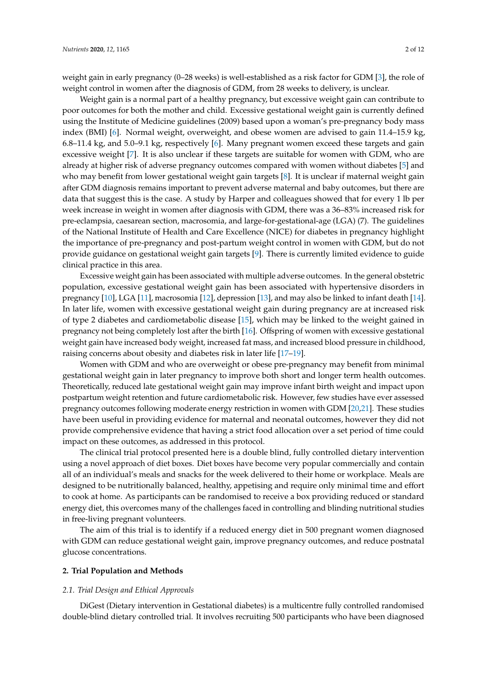weight gain in early pregnancy (0–28 weeks) is well-established as a risk factor for GDM [\[3\]](#page-9-3), the role of weight control in women after the diagnosis of GDM, from 28 weeks to delivery, is unclear.

Weight gain is a normal part of a healthy pregnancy, but excessive weight gain can contribute to poor outcomes for both the mother and child. Excessive gestational weight gain is currently defined using the Institute of Medicine guidelines (2009) based upon a woman's pre-pregnancy body mass index (BMI) [\[6\]](#page-10-0). Normal weight, overweight, and obese women are advised to gain 11.4–15.9 kg, 6.8–11.4 kg, and 5.0–9.1 kg, respectively [\[6\]](#page-10-0). Many pregnant women exceed these targets and gain excessive weight [\[7\]](#page-10-1). It is also unclear if these targets are suitable for women with GDM, who are already at higher risk of adverse pregnancy outcomes compared with women without diabetes [\[5\]](#page-9-2) and who may benefit from lower gestational weight gain targets [\[8\]](#page-10-2). It is unclear if maternal weight gain after GDM diagnosis remains important to prevent adverse maternal and baby outcomes, but there are data that suggest this is the case. A study by Harper and colleagues showed that for every 1 lb per week increase in weight in women after diagnosis with GDM, there was a 36–83% increased risk for pre-eclampsia, caesarean section, macrosomia, and large-for-gestational-age (LGA) (7). The guidelines of the National Institute of Health and Care Excellence (NICE) for diabetes in pregnancy highlight the importance of pre-pregnancy and post-partum weight control in women with GDM, but do not provide guidance on gestational weight gain targets [\[9\]](#page-10-3). There is currently limited evidence to guide clinical practice in this area.

Excessive weight gain has been associated with multiple adverse outcomes. In the general obstetric population, excessive gestational weight gain has been associated with hypertensive disorders in pregnancy [\[10\]](#page-10-4), LGA [\[11\]](#page-10-5), macrosomia [\[12\]](#page-10-6), depression [\[13\]](#page-10-7), and may also be linked to infant death [\[14\]](#page-10-8). In later life, women with excessive gestational weight gain during pregnancy are at increased risk of type 2 diabetes and cardiometabolic disease [\[15\]](#page-10-9), which may be linked to the weight gained in pregnancy not being completely lost after the birth [\[16\]](#page-10-10). Offspring of women with excessive gestational weight gain have increased body weight, increased fat mass, and increased blood pressure in childhood, raising concerns about obesity and diabetes risk in later life [\[17–](#page-10-11)[19\]](#page-10-12).

Women with GDM and who are overweight or obese pre-pregnancy may benefit from minimal gestational weight gain in later pregnancy to improve both short and longer term health outcomes. Theoretically, reduced late gestational weight gain may improve infant birth weight and impact upon postpartum weight retention and future cardiometabolic risk. However, few studies have ever assessed pregnancy outcomes following moderate energy restriction in women with GDM [\[20,](#page-10-13)[21\]](#page-10-14). These studies have been useful in providing evidence for maternal and neonatal outcomes, however they did not provide comprehensive evidence that having a strict food allocation over a set period of time could impact on these outcomes, as addressed in this protocol.

The clinical trial protocol presented here is a double blind, fully controlled dietary intervention using a novel approach of diet boxes. Diet boxes have become very popular commercially and contain all of an individual's meals and snacks for the week delivered to their home or workplace. Meals are designed to be nutritionally balanced, healthy, appetising and require only minimal time and effort to cook at home. As participants can be randomised to receive a box providing reduced or standard energy diet, this overcomes many of the challenges faced in controlling and blinding nutritional studies in free-living pregnant volunteers.

The aim of this trial is to identify if a reduced energy diet in 500 pregnant women diagnosed with GDM can reduce gestational weight gain, improve pregnancy outcomes, and reduce postnatal glucose concentrations.

## **2. Trial Population and Methods**

#### *2.1. Trial Design and Ethical Approvals*

DiGest (Dietary intervention in Gestational diabetes) is a multicentre fully controlled randomised double-blind dietary controlled trial. It involves recruiting 500 participants who have been diagnosed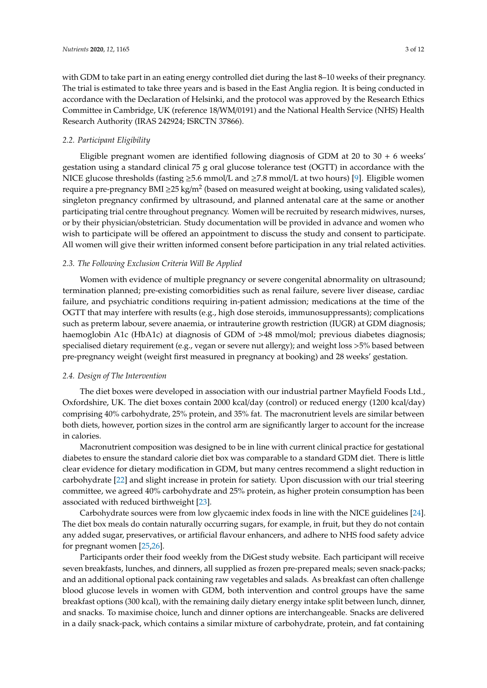with GDM to take part in an eating energy controlled diet during the last 8–10 weeks of their pregnancy. The trial is estimated to take three years and is based in the East Anglia region. It is being conducted in accordance with the Declaration of Helsinki, and the protocol was approved by the Research Ethics Committee in Cambridge, UK (reference 18/WM/0191) and the National Health Service (NHS) Health Research Authority (IRAS 242924; ISRCTN 37866).

## *2.2. Participant Eligibility*

Eligible pregnant women are identified following diagnosis of GDM at 20 to  $30 + 6$  weeks' gestation using a standard clinical 75 g oral glucose tolerance test (OGTT) in accordance with the NICE glucose thresholds (fasting ≥5.6 mmol/L and ≥7.8 mmol/L at two hours) [\[9\]](#page-10-3). Eligible women require a pre-pregnancy BMI ≥25 kg/m<sup>2</sup> (based on measured weight at booking, using validated scales), singleton pregnancy confirmed by ultrasound, and planned antenatal care at the same or another participating trial centre throughout pregnancy. Women will be recruited by research midwives, nurses, or by their physician/obstetrician. Study documentation will be provided in advance and women who wish to participate will be offered an appointment to discuss the study and consent to participate. All women will give their written informed consent before participation in any trial related activities.

## *2.3. The Following Exclusion Criteria Will Be Applied*

Women with evidence of multiple pregnancy or severe congenital abnormality on ultrasound; termination planned; pre-existing comorbidities such as renal failure, severe liver disease, cardiac failure, and psychiatric conditions requiring in-patient admission; medications at the time of the OGTT that may interfere with results (e.g., high dose steroids, immunosuppressants); complications such as preterm labour, severe anaemia, or intrauterine growth restriction (IUGR) at GDM diagnosis; haemoglobin A1c (HbA1c) at diagnosis of GDM of >48 mmol/mol; previous diabetes diagnosis; specialised dietary requirement (e.g., vegan or severe nut allergy); and weight loss >5% based between pre-pregnancy weight (weight first measured in pregnancy at booking) and 28 weeks' gestation.

## *2.4. Design of The Intervention*

The diet boxes were developed in association with our industrial partner Mayfield Foods Ltd., Oxfordshire, UK. The diet boxes contain 2000 kcal/day (control) or reduced energy (1200 kcal/day) comprising 40% carbohydrate, 25% protein, and 35% fat. The macronutrient levels are similar between both diets, however, portion sizes in the control arm are significantly larger to account for the increase in calories.

Macronutrient composition was designed to be in line with current clinical practice for gestational diabetes to ensure the standard calorie diet box was comparable to a standard GDM diet. There is little clear evidence for dietary modification in GDM, but many centres recommend a slight reduction in carbohydrate [\[22\]](#page-10-15) and slight increase in protein for satiety. Upon discussion with our trial steering committee, we agreed 40% carbohydrate and 25% protein, as higher protein consumption has been associated with reduced birthweight [\[23\]](#page-10-16).

Carbohydrate sources were from low glycaemic index foods in line with the NICE guidelines [\[24\]](#page-11-0). The diet box meals do contain naturally occurring sugars, for example, in fruit, but they do not contain any added sugar, preservatives, or artificial flavour enhancers, and adhere to NHS food safety advice for pregnant women [\[25](#page-11-1)[,26\]](#page-11-2).

Participants order their food weekly from the DiGest study website. Each participant will receive seven breakfasts, lunches, and dinners, all supplied as frozen pre-prepared meals; seven snack-packs; and an additional optional pack containing raw vegetables and salads. As breakfast can often challenge blood glucose levels in women with GDM, both intervention and control groups have the same breakfast options (300 kcal), with the remaining daily dietary energy intake split between lunch, dinner, and snacks. To maximise choice, lunch and dinner options are interchangeable. Snacks are delivered in a daily snack-pack, which contains a similar mixture of carbohydrate, protein, and fat containing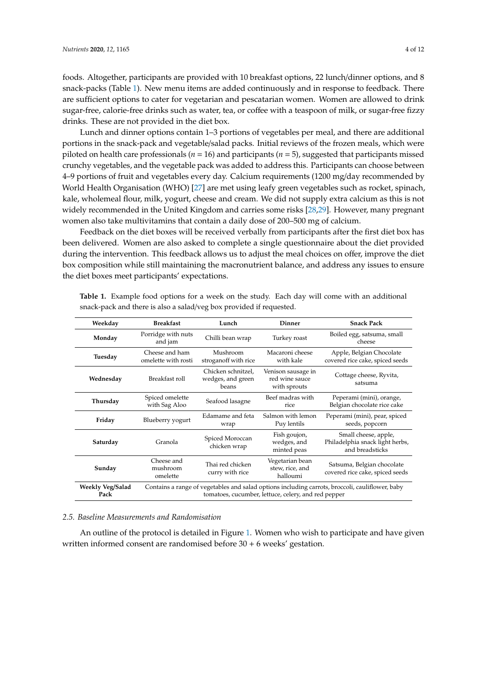foods. Altogether, participants are provided with 10 breakfast options, 22 lunch/dinner options, and 8 snack-packs (Table [1\)](#page-3-0). New menu items are added continuously and in response to feedback. There are sufficient options to cater for vegetarian and pescatarian women. Women are allowed to drink sugar-free, calorie-free drinks such as water, tea, or coffee with a teaspoon of milk, or sugar-free fizzy drinks. These are not provided in the diet box.

Lunch and dinner options contain 1–3 portions of vegetables per meal, and there are additional portions in the snack-pack and vegetable/salad packs. Initial reviews of the frozen meals, which were piloted on health care professionals (*n* = 16) and participants (*n* = 5), suggested that participants missed crunchy vegetables, and the vegetable pack was added to address this. Participants can choose between 4–9 portions of fruit and vegetables every day. Calcium requirements (1200 mg/day recommended by World Health Organisation (WHO) [\[27\]](#page-11-3) are met using leafy green vegetables such as rocket, spinach, kale, wholemeal flour, milk, yogurt, cheese and cream. We did not supply extra calcium as this is not widely recommended in the United Kingdom and carries some risks [\[28,](#page-11-4)[29\]](#page-11-5). However, many pregnant women also take multivitamins that contain a daily dose of 200–500 mg of calcium.

Feedback on the diet boxes will be received verbally from participants after the first diet box has been delivered. Women are also asked to complete a single questionnaire about the diet provided during the intervention. This feedback allows us to adjust the meal choices on offer, improve the diet box composition while still maintaining the macronutrient balance, and address any issues to ensure the diet boxes meet participants' expectations.

| Weekday                  | <b>Breakfast</b>                                                                                                                                       | Lunch                                            | Dinner                                               | <b>Snack Pack</b>                                                          |
|--------------------------|--------------------------------------------------------------------------------------------------------------------------------------------------------|--------------------------------------------------|------------------------------------------------------|----------------------------------------------------------------------------|
| Monday                   | Porridge with nuts<br>and jam                                                                                                                          | Chilli bean wrap                                 | Turkey roast                                         | Boiled egg, satsuma, small<br>cheese                                       |
| Tuesday                  | Cheese and ham<br>omelette with rosti                                                                                                                  | Mushroom<br>stroganoff with rice                 | Macaroni cheese<br>with kale                         | Apple, Belgian Chocolate<br>covered rice cake, spiced seeds                |
| Wednesday                | Breakfast roll                                                                                                                                         | Chicken schnitzel,<br>wedges, and green<br>beans | Venison sausage in<br>red wine sauce<br>with sprouts | Cottage cheese, Ryvita,<br>satsuma                                         |
| Thursday                 | Spiced omelette<br>with Sag Aloo                                                                                                                       | Seafood lasagne                                  | Beef madras with<br>rice                             | Peperami (mini), orange,<br>Belgian chocolate rice cake                    |
| Friday                   | Blueberry yogurt                                                                                                                                       | Edamame and feta<br>wrap                         | Salmon with lemon<br>Puy lentils                     | Peperami (mini), pear, spiced<br>seeds, popcorn                            |
| Saturday                 | Granola                                                                                                                                                | Spiced Moroccan<br>chicken wrap                  | Fish goujon,<br>wedges, and<br>minted peas           | Small cheese, apple,<br>Philadelphia snack light herbs,<br>and breadsticks |
| Sunday                   | Cheese and<br>mushroom<br>omelette                                                                                                                     | Thai red chicken<br>curry with rice              | Vegetarian bean<br>stew, rice, and<br>halloumi       | Satsuma, Belgian chocolate<br>covered rice cake, spiced seeds              |
| Weekly Veg/Salad<br>Pack | Contains a range of vegetables and salad options including carrots, broccoli, cauliflower, baby<br>tomatoes, cucumber, lettuce, celery, and red pepper |                                                  |                                                      |                                                                            |

<span id="page-3-0"></span>**Table 1.** Example food options for a week on the study. Each day will come with an additional snack-pack and there is also a salad/veg box provided if requested.

## *2.5. Baseline Measurements and Randomisation*

An outline of the protocol is detailed in Figure [1.](#page-4-0) Women who wish to participate and have given written informed consent are randomised before 30 + 6 weeks' gestation.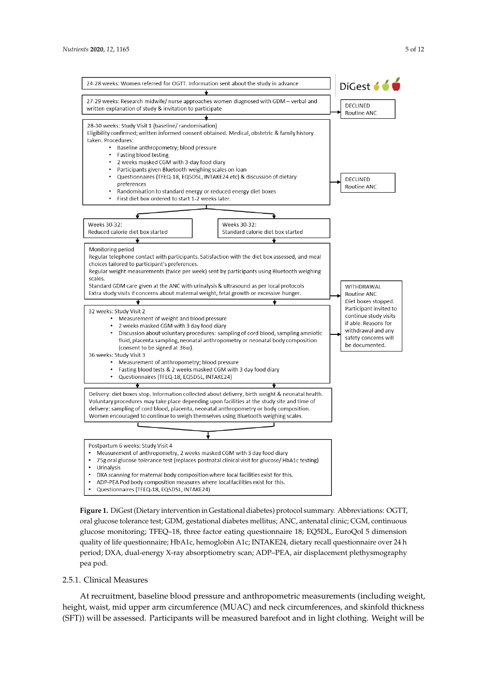<span id="page-4-0"></span>

**Figure 1.** DiGest (Dietary intervention in Gestational diabetes) protocol summary. Abbreviations: **Figure 1.** DiGest (Dietary intervention in Gestational diabetes) protocol summary. Abbreviations: OGTT, oral glucose tolerance test; GDM, gestational diabetes mellitus; ANC, antenatal clinic; CGM, continuous glucose monitoring; TFEQ–18, three factor eating questionnaire 18; EQ5DL, EuroQol 5 dimension dimension quality of life questionnaire; HbA1c, hemoglobin A1c; INTAKE24, dietary recall quality of life questionnaire; HbA1c, hemoglobin A1c; INTAKE24, dietary recall questionnaire over 24 h  $q_1$  , DXA, dual-energy  $\chi$  as a shoc mitigation stan scan; ADP–PEA, air displacement platforms scan; displacement plethysmography pea pod. period; DXA, dual-energy X-ray absorptiometry scan; ADP–PEA, air displacement plethysmography pea pod.

## 2.5.1. Clinical Measures 2.5.1. Clinical Measures

At recruitment, baseline blood pressure and anthropometric measurements (including weight, At recruitment, baseline blood pressure and anthropometric measurements (including weight, height, waist, mid upper arm circumference (MUAC) and neck circumferences, and skinfold height, waist, mid upper arm circumference (MUAC) and neck circumferences, and skinfold thickness  $t_{\text{ST}}^{(r)}$ ) will be assessed. Participants will be measured barefoot and in light clothing. Weight will (SFT)) will be assessed. Participants will be measured barefoot and in light clothing. Weight will be<br>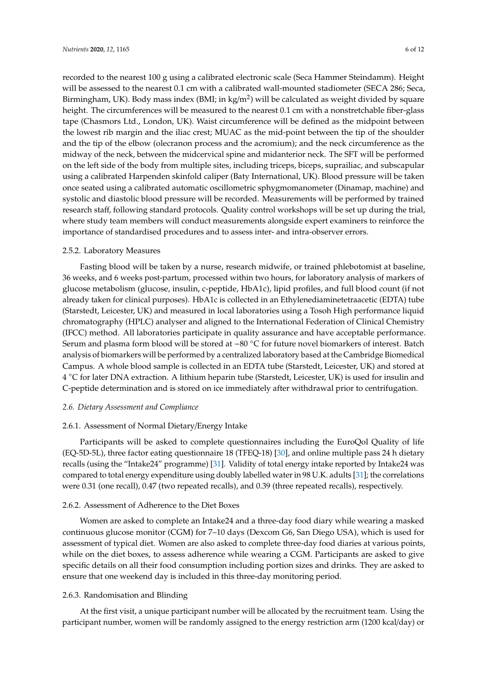recorded to the nearest 100 g using a calibrated electronic scale (Seca Hammer Steindamm). Height will be assessed to the nearest 0.1 cm with a calibrated wall-mounted stadiometer (SECA 286; Seca, Birmingham, UK). Body mass index (BMI; in kg/m<sup>2</sup>) will be calculated as weight divided by square height. The circumferences will be measured to the nearest 0.1 cm with a nonstretchable fiber-glass tape (Chasmors Ltd., London, UK). Waist circumference will be defined as the midpoint between the lowest rib margin and the iliac crest; MUAC as the mid-point between the tip of the shoulder and the tip of the elbow (olecranon process and the acromium); and the neck circumference as the midway of the neck, between the midcervical spine and midanterior neck. The SFT will be performed on the left side of the body from multiple sites, including triceps, biceps, suprailiac, and subscapular using a calibrated Harpenden skinfold caliper (Baty International, UK). Blood pressure will be taken once seated using a calibrated automatic oscillometric sphygmomanometer (Dinamap, machine) and systolic and diastolic blood pressure will be recorded. Measurements will be performed by trained research staff, following standard protocols. Quality control workshops will be set up during the trial, where study team members will conduct measurements alongside expert examiners to reinforce the importance of standardised procedures and to assess inter- and intra-observer errors.

#### 2.5.2. Laboratory Measures

Fasting blood will be taken by a nurse, research midwife, or trained phlebotomist at baseline, 36 weeks, and 6 weeks post-partum, processed within two hours, for laboratory analysis of markers of glucose metabolism (glucose, insulin, c-peptide, HbA1c), lipid profiles, and full blood count (if not already taken for clinical purposes). HbA1c is collected in an Ethylenediaminetetraacetic (EDTA) tube (Starstedt, Leicester, UK) and measured in local laboratories using a Tosoh High performance liquid chromatography (HPLC) analyser and aligned to the International Federation of Clinical Chemistry (IFCC) method. All laboratories participate in quality assurance and have acceptable performance. Serum and plasma form blood will be stored at −80 ◦C for future novel biomarkers of interest. Batch analysis of biomarkers will be performed by a centralized laboratory based at the Cambridge Biomedical Campus. A whole blood sample is collected in an EDTA tube (Starstedt, Leicester, UK) and stored at 4 ◦C for later DNA extraction. A lithium heparin tube (Starstedt, Leicester, UK) is used for insulin and C-peptide determination and is stored on ice immediately after withdrawal prior to centrifugation.

#### *2.6. Dietary Assessment and Compliance*

#### 2.6.1. Assessment of Normal Dietary/Energy Intake

Participants will be asked to complete questionnaires including the EuroQol Quality of life (EQ-5D-5L), three factor eating questionnaire 18 (TFEQ-18) [\[30\]](#page-11-6), and online multiple pass 24 h dietary recalls (using the "Intake24" programme) [\[31\]](#page-11-7). Validity of total energy intake reported by Intake24 was compared to total energy expenditure using doubly labelled water in 98 U.K. adults [\[31\]](#page-11-7); the correlations were 0.31 (one recall), 0.47 (two repeated recalls), and 0.39 (three repeated recalls), respectively.

## 2.6.2. Assessment of Adherence to the Diet Boxes

Women are asked to complete an Intake24 and a three-day food diary while wearing a masked continuous glucose monitor (CGM) for 7–10 days (Dexcom G6, San Diego USA), which is used for assessment of typical diet. Women are also asked to complete three-day food diaries at various points, while on the diet boxes, to assess adherence while wearing a CGM. Participants are asked to give specific details on all their food consumption including portion sizes and drinks. They are asked to ensure that one weekend day is included in this three-day monitoring period.

#### 2.6.3. Randomisation and Blinding

At the first visit, a unique participant number will be allocated by the recruitment team. Using the participant number, women will be randomly assigned to the energy restriction arm (1200 kcal/day) or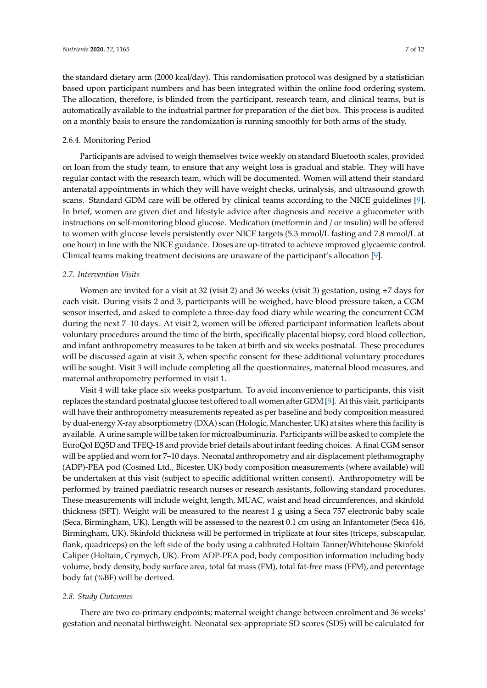the standard dietary arm (2000 kcal/day). This randomisation protocol was designed by a statistician based upon participant numbers and has been integrated within the online food ordering system. The allocation, therefore, is blinded from the participant, research team, and clinical teams, but is automatically available to the industrial partner for preparation of the diet box. This process is audited on a monthly basis to ensure the randomization is running smoothly for both arms of the study.

## 2.6.4. Monitoring Period

Participants are advised to weigh themselves twice weekly on standard Bluetooth scales, provided on loan from the study team, to ensure that any weight loss is gradual and stable. They will have regular contact with the research team, which will be documented. Women will attend their standard antenatal appointments in which they will have weight checks, urinalysis, and ultrasound growth scans. Standard GDM care will be offered by clinical teams according to the NICE guidelines [\[9\]](#page-10-3). In brief, women are given diet and lifestyle advice after diagnosis and receive a glucometer with instructions on self-monitoring blood glucose. Medication (metformin and / or insulin) will be offered to women with glucose levels persistently over NICE targets (5.3 mmol/L fasting and 7.8 mmol/L at one hour) in line with the NICE guidance. Doses are up-titrated to achieve improved glycaemic control. Clinical teams making treatment decisions are unaware of the participant's allocation [\[9\]](#page-10-3).

## *2.7. Intervention Visits*

Women are invited for a visit at 32 (visit 2) and 36 weeks (visit 3) gestation, using  $\pm 7$  days for each visit. During visits 2 and 3, participants will be weighed, have blood pressure taken, a CGM sensor inserted, and asked to complete a three-day food diary while wearing the concurrent CGM during the next 7–10 days. At visit 2, women will be offered participant information leaflets about voluntary procedures around the time of the birth, specifically placental biopsy, cord blood collection, and infant anthropometry measures to be taken at birth and six weeks postnatal. These procedures will be discussed again at visit 3, when specific consent for these additional voluntary procedures will be sought. Visit 3 will include completing all the questionnaires, maternal blood measures, and maternal anthropometry performed in visit 1.

Visit 4 will take place six weeks postpartum. To avoid inconvenience to participants, this visit replaces the standard postnatal glucose test offered to all women after GDM [\[9\]](#page-10-3). At this visit, participants will have their anthropometry measurements repeated as per baseline and body composition measured by dual-energy X-ray absorptiometry (DXA) scan (Hologic, Manchester, UK) at sites where this facility is available. A urine sample will be taken for microalbuminuria. Participants will be asked to complete the EuroQol EQ5D and TFEQ-18 and provide brief details about infant feeding choices. A final CGM sensor will be applied and worn for 7–10 days. Neonatal anthropometry and air displacement plethsmography (ADP)-PEA pod (Cosmed Ltd., Bicester, UK) body composition measurements (where available) will be undertaken at this visit (subject to specific additional written consent). Anthropometry will be performed by trained paediatric research nurses or research assistants, following standard procedures. These measurements will include weight, length, MUAC, waist and head circumferences, and skinfold thickness (SFT). Weight will be measured to the nearest 1 g using a Seca 757 electronic baby scale (Seca, Birmingham, UK). Length will be assessed to the nearest 0.1 cm using an Infantometer (Seca 416, Birmingham, UK). Skinfold thickness will be performed in triplicate at four sites (triceps, subscapular, flank, quadriceps) on the left side of the body using a calibrated Holtain Tanner/Whitehouse Skinfold Caliper (Holtain, Crymych, UK). From ADP-PEA pod, body composition information including body volume, body density, body surface area, total fat mass (FM), total fat-free mass (FFM), and percentage body fat (%BF) will be derived.

## *2.8. Study Outcomes*

There are two co-primary endpoints; maternal weight change between enrolment and 36 weeks' gestation and neonatal birthweight. Neonatal sex-appropriate SD scores (SDS) will be calculated for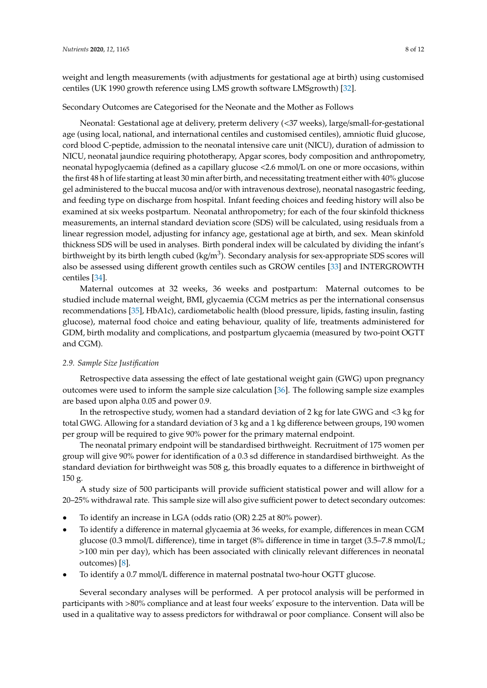weight and length measurements (with adjustments for gestational age at birth) using customised centiles (UK 1990 growth reference using LMS growth software LMSgrowth) [\[32\]](#page-11-8).

#### Secondary Outcomes are Categorised for the Neonate and the Mother as Follows

Neonatal: Gestational age at delivery, preterm delivery (<37 weeks), large/small-for-gestational age (using local, national, and international centiles and customised centiles), amniotic fluid glucose, cord blood C-peptide, admission to the neonatal intensive care unit (NICU), duration of admission to NICU, neonatal jaundice requiring phototherapy, Apgar scores, body composition and anthropometry, neonatal hypoglycaemia (defined as a capillary glucose <2.6 mmol/L on one or more occasions, within the first 48 h of life starting at least 30 min after birth, and necessitating treatment either with 40% glucose gel administered to the buccal mucosa and/or with intravenous dextrose), neonatal nasogastric feeding, and feeding type on discharge from hospital. Infant feeding choices and feeding history will also be examined at six weeks postpartum. Neonatal anthropometry; for each of the four skinfold thickness measurements, an internal standard deviation score (SDS) will be calculated, using residuals from a linear regression model, adjusting for infancy age, gestational age at birth, and sex. Mean skinfold thickness SDS will be used in analyses. Birth ponderal index will be calculated by dividing the infant's birthweight by its birth length cubed (kg/m $^3$ ). Secondary analysis for sex-appropriate SDS scores will also be assessed using different growth centiles such as GROW centiles [\[33\]](#page-11-9) and INTERGROWTH centiles [\[34\]](#page-11-10).

Maternal outcomes at 32 weeks, 36 weeks and postpartum: Maternal outcomes to be studied include maternal weight, BMI, glycaemia (CGM metrics as per the international consensus recommendations [\[35\]](#page-11-11), HbA1c), cardiometabolic health (blood pressure, lipids, fasting insulin, fasting glucose), maternal food choice and eating behaviour, quality of life, treatments administered for GDM, birth modality and complications, and postpartum glycaemia (measured by two-point OGTT and CGM).

## *2.9. Sample Size Justification*

Retrospective data assessing the effect of late gestational weight gain (GWG) upon pregnancy outcomes were used to inform the sample size calculation [\[36\]](#page-11-12). The following sample size examples are based upon alpha 0.05 and power 0.9.

In the retrospective study, women had a standard deviation of 2 kg for late GWG and <3 kg for total GWG. Allowing for a standard deviation of 3 kg and a 1 kg difference between groups, 190 women per group will be required to give 90% power for the primary maternal endpoint.

The neonatal primary endpoint will be standardised birthweight. Recruitment of 175 women per group will give 90% power for identification of a 0.3 sd difference in standardised birthweight. As the standard deviation for birthweight was 508 g, this broadly equates to a difference in birthweight of 150 g.

A study size of 500 participants will provide sufficient statistical power and will allow for a 20–25% withdrawal rate. This sample size will also give sufficient power to detect secondary outcomes:

- To identify an increase in LGA (odds ratio (OR) 2.25 at 80% power).
- To identify a difference in maternal glycaemia at 36 weeks, for example, differences in mean CGM glucose (0.3 mmol/L difference), time in target (8% difference in time in target (3.5–7.8 mmol/L; >100 min per day), which has been associated with clinically relevant differences in neonatal outcomes) [\[8\]](#page-10-2).
- To identify a 0.7 mmol/L difference in maternal postnatal two-hour OGTT glucose.

Several secondary analyses will be performed. A per protocol analysis will be performed in participants with >80% compliance and at least four weeks' exposure to the intervention. Data will be used in a qualitative way to assess predictors for withdrawal or poor compliance. Consent will also be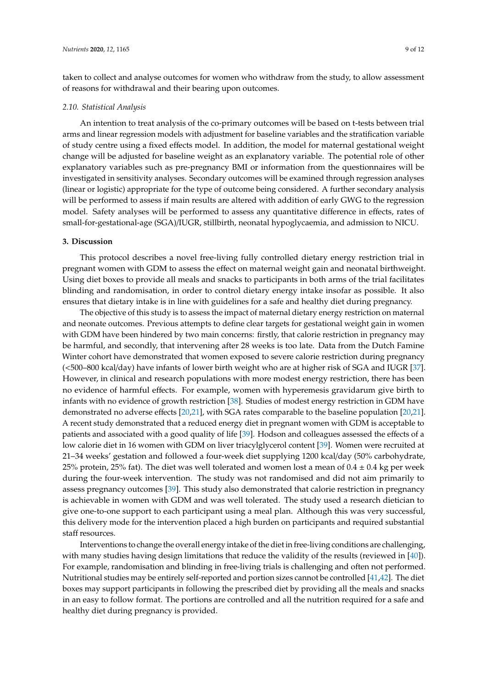taken to collect and analyse outcomes for women who withdraw from the study, to allow assessment of reasons for withdrawal and their bearing upon outcomes.

#### *2.10. Statistical Analysis*

An intention to treat analysis of the co-primary outcomes will be based on t-tests between trial arms and linear regression models with adjustment for baseline variables and the stratification variable of study centre using a fixed effects model. In addition, the model for maternal gestational weight change will be adjusted for baseline weight as an explanatory variable. The potential role of other explanatory variables such as pre-pregnancy BMI or information from the questionnaires will be investigated in sensitivity analyses. Secondary outcomes will be examined through regression analyses (linear or logistic) appropriate for the type of outcome being considered. A further secondary analysis will be performed to assess if main results are altered with addition of early GWG to the regression model. Safety analyses will be performed to assess any quantitative difference in effects, rates of small-for-gestational-age (SGA)/IUGR, stillbirth, neonatal hypoglycaemia, and admission to NICU.

#### **3. Discussion**

This protocol describes a novel free-living fully controlled dietary energy restriction trial in pregnant women with GDM to assess the effect on maternal weight gain and neonatal birthweight. Using diet boxes to provide all meals and snacks to participants in both arms of the trial facilitates blinding and randomisation, in order to control dietary energy intake insofar as possible. It also ensures that dietary intake is in line with guidelines for a safe and healthy diet during pregnancy.

The objective of this study is to assess the impact of maternal dietary energy restriction on maternal and neonate outcomes. Previous attempts to define clear targets for gestational weight gain in women with GDM have been hindered by two main concerns: firstly, that calorie restriction in pregnancy may be harmful, and secondly, that intervening after 28 weeks is too late. Data from the Dutch Famine Winter cohort have demonstrated that women exposed to severe calorie restriction during pregnancy (<500–800 kcal/day) have infants of lower birth weight who are at higher risk of SGA and IUGR [\[37\]](#page-11-13). However, in clinical and research populations with more modest energy restriction, there has been no evidence of harmful effects. For example, women with hyperemesis gravidarum give birth to infants with no evidence of growth restriction [\[38\]](#page-11-14). Studies of modest energy restriction in GDM have demonstrated no adverse effects [\[20](#page-10-13)[,21\]](#page-10-14), with SGA rates comparable to the baseline population [\[20](#page-10-13)[,21\]](#page-10-14). A recent study demonstrated that a reduced energy diet in pregnant women with GDM is acceptable to patients and associated with a good quality of life [\[39\]](#page-11-15). Hodson and colleagues assessed the effects of a low calorie diet in 16 women with GDM on liver triacylglycerol content [\[39\]](#page-11-15). Women were recruited at 21–34 weeks' gestation and followed a four-week diet supplying 1200 kcal/day (50% carbohydrate, 25% protein, 25% fat). The diet was well tolerated and women lost a mean of  $0.4 \pm 0.4$  kg per week during the four-week intervention. The study was not randomised and did not aim primarily to assess pregnancy outcomes [\[39\]](#page-11-15). This study also demonstrated that calorie restriction in pregnancy is achievable in women with GDM and was well tolerated. The study used a research dietician to give one-to-one support to each participant using a meal plan. Although this was very successful, this delivery mode for the intervention placed a high burden on participants and required substantial staff resources.

Interventions to change the overall energy intake of the diet in free-living conditions are challenging, with many studies having design limitations that reduce the validity of the results (reviewed in [\[40\]](#page-11-16)). For example, randomisation and blinding in free-living trials is challenging and often not performed. Nutritional studies may be entirely self-reported and portion sizes cannot be controlled [\[41](#page-11-17)[,42\]](#page-11-18). The diet boxes may support participants in following the prescribed diet by providing all the meals and snacks in an easy to follow format. The portions are controlled and all the nutrition required for a safe and healthy diet during pregnancy is provided.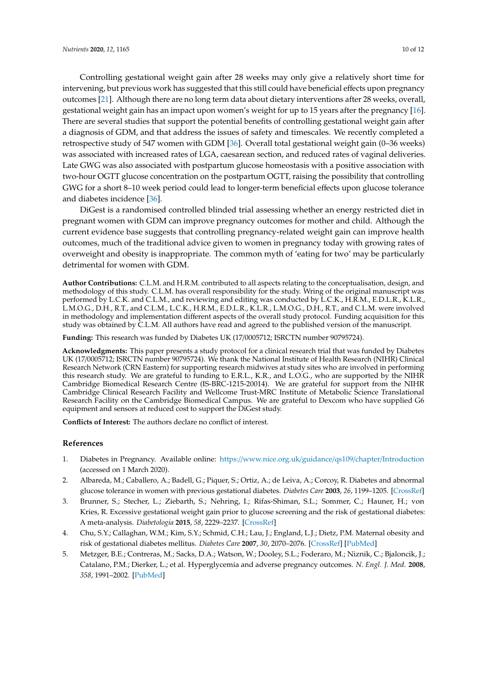Controlling gestational weight gain after 28 weeks may only give a relatively short time for intervening, but previous work has suggested that this still could have beneficial effects upon pregnancy outcomes [\[21\]](#page-10-14). Although there are no long term data about dietary interventions after 28 weeks, overall, gestational weight gain has an impact upon women's weight for up to 15 years after the pregnancy [\[16\]](#page-10-10). There are several studies that support the potential benefits of controlling gestational weight gain after a diagnosis of GDM, and that address the issues of safety and timescales. We recently completed a retrospective study of 547 women with GDM [\[36\]](#page-11-12). Overall total gestational weight gain (0–36 weeks) was associated with increased rates of LGA, caesarean section, and reduced rates of vaginal deliveries. Late GWG was also associated with postpartum glucose homeostasis with a positive association with two-hour OGTT glucose concentration on the postpartum OGTT, raising the possibility that controlling GWG for a short 8–10 week period could lead to longer-term beneficial effects upon glucose tolerance and diabetes incidence [\[36\]](#page-11-12).

DiGest is a randomised controlled blinded trial assessing whether an energy restricted diet in pregnant women with GDM can improve pregnancy outcomes for mother and child. Although the current evidence base suggests that controlling pregnancy-related weight gain can improve health outcomes, much of the traditional advice given to women in pregnancy today with growing rates of overweight and obesity is inappropriate. The common myth of 'eating for two' may be particularly detrimental for women with GDM.

**Author Contributions:** C.L.M. and H.R.M. contributed to all aspects relating to the conceptualisation, design, and methodology of this study. C.L.M. has overall responsibility for the study. Wring of the original manuscript was performed by L.C.K. and C.L.M., and reviewing and editing was conducted by L.C.K., H.R.M., E.D.L.R., K.L.R., L.M.O.G., D.H., R.T., and C.L.M., L.C.K., H.R.M., E.D.L.R., K.L.R., L.M.O.G., D.H., R.T., and C.L.M. were involved in methodology and implementation different aspects of the overall study protocol. Funding acquisition for this study was obtained by C.L.M. All authors have read and agreed to the published version of the manuscript.

**Funding:** This research was funded by Diabetes UK (17/0005712; ISRCTN number 90795724).

**Acknowledgments:** This paper presents a study protocol for a clinical research trial that was funded by Diabetes UK (17/0005712; ISRCTN number 90795724). We thank the National Institute of Health Research (NIHR) Clinical Research Network (CRN Eastern) for supporting research midwives at study sites who are involved in performing this research study. We are grateful to funding to E.R.L., K.R., and L.O.G., who are supported by the NIHR Cambridge Biomedical Research Centre (IS-BRC-1215-20014). We are grateful for support from the NIHR Cambridge Clinical Research Facility and Wellcome Trust-MRC Institute of Metabolic Science Translational Research Facility on the Cambridge Biomedical Campus. We are grateful to Dexcom who have supplied G6 equipment and sensors at reduced cost to support the DiGest study.

**Conflicts of Interest:** The authors declare no conflict of interest.

#### **References**

- <span id="page-9-0"></span>1. Diabetes in Pregnancy. Available online: https://[www.nice.org.uk](https://www.nice.org.uk/guidance/qs109/chapter/Introduction)/guidance/qs109/chapter/Introduction (accessed on 1 March 2020).
- <span id="page-9-1"></span>2. Albareda, M.; Caballero, A.; Badell, G.; Piquer, S.; Ortiz, A.; de Leiva, A.; Corcoy, R. Diabetes and abnormal glucose tolerance in women with previous gestational diabetes. *Diabetes Care* **2003**, *26*, 1199–1205. [\[CrossRef\]](http://dx.doi.org/10.2337/diacare.26.4.1199)
- <span id="page-9-3"></span>3. Brunner, S.; Stecher, L.; Ziebarth, S.; Nehring, I.; Rifas-Shiman, S.L.; Sommer, C.; Hauner, H.; von Kries, R. Excessive gestational weight gain prior to glucose screening and the risk of gestational diabetes: A meta-analysis. *Diabetologia* **2015**, *58*, 2229–2237. [\[CrossRef\]](http://dx.doi.org/10.1007/s00125-015-3686-5)
- 4. Chu, S.Y.; Callaghan, W.M.; Kim, S.Y.; Schmid, C.H.; Lau, J.; England, L.J.; Dietz, P.M. Maternal obesity and risk of gestational diabetes mellitus. *Diabetes Care* **2007**, *30*, 2070–2076. [\[CrossRef\]](http://dx.doi.org/10.2337/dc06-2559a) [\[PubMed\]](http://www.ncbi.nlm.nih.gov/pubmed/17416786)
- <span id="page-9-2"></span>5. Metzger, B.E.; Contreras, M.; Sacks, D.A.; Watson, W.; Dooley, S.L.; Foderaro, M.; Niznik, C.; Bjaloncik, J.; Catalano, P.M.; Dierker, L.; et al. Hyperglycemia and adverse pregnancy outcomes. *N. Engl. J. Med.* **2008**, *358*, 1991–2002. [\[PubMed\]](http://www.ncbi.nlm.nih.gov/pubmed/18463375)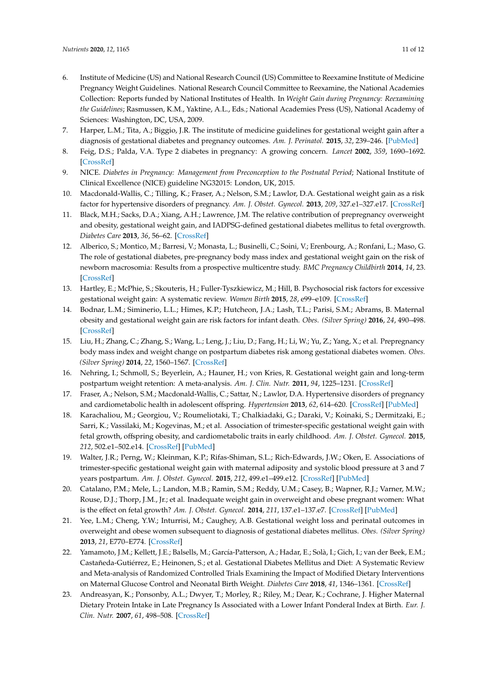- <span id="page-10-0"></span>6. Institute of Medicine (US) and National Research Council (US) Committee to Reexamine Institute of Medicine Pregnancy Weight Guidelines. National Research Council Committee to Reexamine, the National Academies Collection: Reports funded by National Institutes of Health. In *Weight Gain during Pregnancy: Reexamining the Guidelines*; Rasmussen, K.M., Yaktine, A.L., Eds.; National Academies Press (US), National Academy of Sciences: Washington, DC, USA, 2009.
- <span id="page-10-1"></span>7. Harper, L.M.; Tita, A.; Biggio, J.R. The institute of medicine guidelines for gestational weight gain after a diagnosis of gestational diabetes and pregnancy outcomes. *Am. J. Perinatol.* **2015**, *32*, 239–246. [\[PubMed\]](http://www.ncbi.nlm.nih.gov/pubmed/24971568)
- <span id="page-10-2"></span>8. Feig, D.S.; Palda, V.A. Type 2 diabetes in pregnancy: A growing concern. *Lancet* **2002**, *359*, 1690–1692. [\[CrossRef\]](http://dx.doi.org/10.1016/S0140-6736(02)08599-9)
- <span id="page-10-3"></span>9. NICE. *Diabetes in Pregnancy: Management from Preconception to the Postnatal Period*; National Institute of Clinical Excellence (NICE) guideline NG32015: London, UK, 2015.
- <span id="page-10-4"></span>10. Macdonald-Wallis, C.; Tilling, K.; Fraser, A.; Nelson, S.M.; Lawlor, D.A. Gestational weight gain as a risk factor for hypertensive disorders of pregnancy. *Am. J. Obstet. Gynecol.* **2013**, *209*, 327.e1–327.e17. [\[CrossRef\]](http://dx.doi.org/10.1016/j.ajog.2013.05.042)
- <span id="page-10-5"></span>11. Black, M.H.; Sacks, D.A.; Xiang, A.H.; Lawrence, J.M. The relative contribution of prepregnancy overweight and obesity, gestational weight gain, and IADPSG-defined gestational diabetes mellitus to fetal overgrowth. *Diabetes Care* **2013**, *36*, 56–62. [\[CrossRef\]](http://dx.doi.org/10.2337/dc12-0741)
- <span id="page-10-6"></span>12. Alberico, S.; Montico, M.; Barresi, V.; Monasta, L.; Businelli, C.; Soini, V.; Erenbourg, A.; Ronfani, L.; Maso, G. The role of gestational diabetes, pre-pregnancy body mass index and gestational weight gain on the risk of newborn macrosomia: Results from a prospective multicentre study. *BMC Pregnancy Childbirth* **2014**, *14*, 23. [\[CrossRef\]](http://dx.doi.org/10.1186/1471-2393-14-23)
- <span id="page-10-7"></span>13. Hartley, E.; McPhie, S.; Skouteris, H.; Fuller-Tyszkiewicz, M.; Hill, B. Psychosocial risk factors for excessive gestational weight gain: A systematic review. *Women Birth* **2015**, *28*, e99–e109. [\[CrossRef\]](http://dx.doi.org/10.1016/j.wombi.2015.04.004)
- <span id="page-10-8"></span>14. Bodnar, L.M.; Siminerio, L.L.; Himes, K.P.; Hutcheon, J.A.; Lash, T.L.; Parisi, S.M.; Abrams, B. Maternal obesity and gestational weight gain are risk factors for infant death. *Obes. (Silver Spring)* **2016**, *24*, 490–498. [\[CrossRef\]](http://dx.doi.org/10.1002/oby.21335)
- <span id="page-10-9"></span>15. Liu, H.; Zhang, C.; Zhang, S.; Wang, L.; Leng, J.; Liu, D.; Fang, H.; Li, W.; Yu, Z.; Yang, X.; et al. Prepregnancy body mass index and weight change on postpartum diabetes risk among gestational diabetes women. *Obes. (Silver Spring)* **2014**, *22*, 1560–1567. [\[CrossRef\]](http://dx.doi.org/10.1002/oby.20722)
- <span id="page-10-10"></span>16. Nehring, I.; Schmoll, S.; Beyerlein, A.; Hauner, H.; von Kries, R. Gestational weight gain and long-term postpartum weight retention: A meta-analysis. *Am. J. Clin. Nutr.* **2011**, *94*, 1225–1231. [\[CrossRef\]](http://dx.doi.org/10.3945/ajcn.111.015289)
- <span id="page-10-11"></span>17. Fraser, A.; Nelson, S.M.; Macdonald-Wallis, C.; Sattar, N.; Lawlor, D.A. Hypertensive disorders of pregnancy and cardiometabolic health in adolescent offspring. *Hypertension* **2013**, *62*, 614–620. [\[CrossRef\]](http://dx.doi.org/10.1161/HYPERTENSIONAHA.113.01513) [\[PubMed\]](http://www.ncbi.nlm.nih.gov/pubmed/23918754)
- 18. Karachaliou, M.; Georgiou, V.; Roumeliotaki, T.; Chalkiadaki, G.; Daraki, V.; Koinaki, S.; Dermitzaki, E.; Sarri, K.; Vassilaki, M.; Kogevinas, M.; et al. Association of trimester-specific gestational weight gain with fetal growth, offspring obesity, and cardiometabolic traits in early childhood. *Am. J. Obstet. Gynecol.* **2015**, *212*, 502.e1–502.e14. [\[CrossRef\]](http://dx.doi.org/10.1016/j.ajog.2014.12.038) [\[PubMed\]](http://www.ncbi.nlm.nih.gov/pubmed/25557209)
- <span id="page-10-12"></span>19. Walter, J.R.; Perng, W.; Kleinman, K.P.; Rifas-Shiman, S.L.; Rich-Edwards, J.W.; Oken, E. Associations of trimester-specific gestational weight gain with maternal adiposity and systolic blood pressure at 3 and 7 years postpartum. *Am. J. Obstet. Gynecol.* **2015**, *212*, 499.e1–499.e12. [\[CrossRef\]](http://dx.doi.org/10.1016/j.ajog.2014.11.012) [\[PubMed\]](http://www.ncbi.nlm.nih.gov/pubmed/25446696)
- <span id="page-10-13"></span>20. Catalano, P.M.; Mele, L.; Landon, M.B.; Ramin, S.M.; Reddy, U.M.; Casey, B.; Wapner, R.J.; Varner, M.W.; Rouse, D.J.; Thorp, J.M., Jr.; et al. Inadequate weight gain in overweight and obese pregnant women: What is the effect on fetal growth? *Am. J. Obstet. Gynecol.* **2014**, *211*, 137.e1–137.e7. [\[CrossRef\]](http://dx.doi.org/10.1016/j.ajog.2014.02.004) [\[PubMed\]](http://www.ncbi.nlm.nih.gov/pubmed/24530820)
- <span id="page-10-14"></span>21. Yee, L.M.; Cheng, Y.W.; Inturrisi, M.; Caughey, A.B. Gestational weight loss and perinatal outcomes in overweight and obese women subsequent to diagnosis of gestational diabetes mellitus. *Obes. (Silver Spring)* **2013**, *21*, E770–E774. [\[CrossRef\]](http://dx.doi.org/10.1002/oby.20490)
- <span id="page-10-15"></span>22. Yamamoto, J.M.; Kellett, J.E.; Balsells, M.; García-Patterson, A.; Hadar, E.; Solà, I.; Gich, I.; van der Beek, E.M.; Castañeda-Gutiérrez, E.; Heinonen, S.; et al. Gestational Diabetes Mellitus and Diet: A Systematic Review and Meta-analysis of Randomized Controlled Trials Examining the Impact of Modified Dietary Interventions on Maternal Glucose Control and Neonatal Birth Weight. *Diabetes Care* **2018**, *41*, 1346–1361. [\[CrossRef\]](http://dx.doi.org/10.2337/dc18-0102)
- <span id="page-10-16"></span>23. Andreasyan, K.; Ponsonby, A.L.; Dwyer, T.; Morley, R.; Riley, M.; Dear, K.; Cochrane, J. Higher Maternal Dietary Protein Intake in Late Pregnancy Is Associated with a Lower Infant Ponderal Index at Birth. *Eur. J. Clin. Nutr.* **2007**, *61*, 498–508. [\[CrossRef\]](http://dx.doi.org/10.1038/sj.ejcn.1602552)